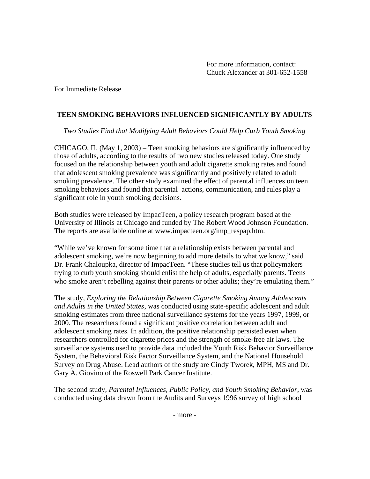For Immediate Release

## **TEEN SMOKING BEHAVIORS INFLUENCED SIGNIFICANTLY BY ADULTS**

*Two Studies Find that Modifying Adult Behaviors Could Help Curb Youth Smoking*

CHICAGO, IL (May 1, 2003) – Teen smoking behaviors are significantly influenced by those of adults, according to the results of two new studies released today. One study focused on the relationship between youth and adult cigarette smoking rates and found that adolescent smoking prevalence was significantly and positively related to adult smoking prevalence. The other study examined the effect of parental influences on teen smoking behaviors and found that parental actions, communication, and rules play a significant role in youth smoking decisions.

Both studies were released by ImpacTeen, a policy research program based at the University of Illinois at Chicago and funded by The Robert Wood Johnson Foundation. The reports are available online at www.impacteen.org/imp\_respap.htm.

"While we've known for some time that a relationship exists between parental and adolescent smoking, we're now beginning to add more details to what we know," said Dr. Frank Chaloupka, director of ImpacTeen. "These studies tell us that policymakers trying to curb youth smoking should enlist the help of adults, especially parents. Teens who smoke aren't rebelling against their parents or other adults; they're emulating them."

The study, *Exploring the Relationship Between Cigarette Smoking Among Adolescents and Adults in the United States*, was conducted using state-specific adolescent and adult smoking estimates from three national surveillance systems for the years 1997, 1999, or 2000. The researchers found a significant positive correlation between adult and adolescent smoking rates. In addition, the positive relationship persisted even when researchers controlled for cigarette prices and the strength of smoke-free air laws. The surveillance systems used to provide data included the Youth Risk Behavior Surveillance System, the Behavioral Risk Factor Surveillance System, and the National Household Survey on Drug Abuse. Lead authors of the study are Cindy Tworek, MPH, MS and Dr. Gary A. Giovino of the Roswell Park Cancer Institute.

The second study, *Parental Influences, Public Policy, and Youth Smoking Behavior*, was conducted using data drawn from the Audits and Surveys 1996 survey of high school